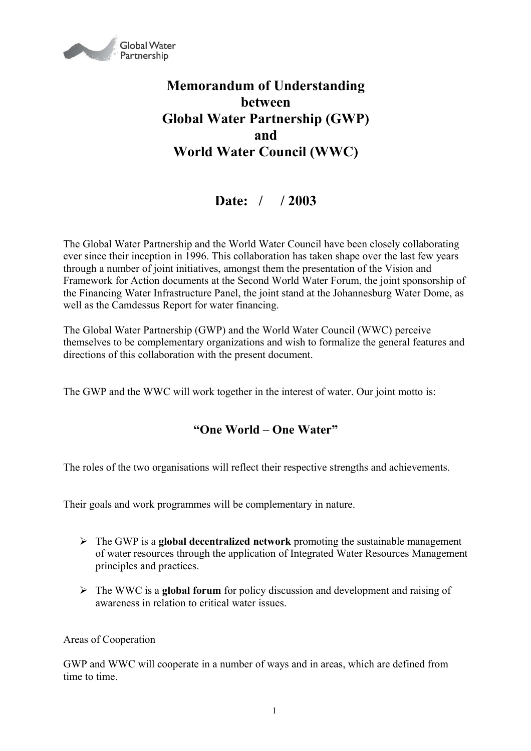

## **Memorandum of Understanding between Global Water Partnership (GWP) and World Water Council (WWC)**

## **Date: / / 2003**

The Global Water Partnership and the World Water Council have been closely collaborating ever since their inception in 1996. This collaboration has taken shape over the last few years through a number of joint initiatives, amongst them the presentation of the Vision and Framework for Action documents at the Second World Water Forum, the joint sponsorship of the Financing Water Infrastructure Panel, the joint stand at the Johannesburg Water Dome, as well as the Camdessus Report for water financing.

The Global Water Partnership (GWP) and the World Water Council (WWC) perceive themselves to be complementary organizations and wish to formalize the general features and directions of this collaboration with the present document.

The GWP and the WWC will work together in the interest of water. Our joint motto is:

## **"One World – One Water"**

The roles of the two organisations will reflect their respective strengths and achievements.

Their goals and work programmes will be complementary in nature.

- The GWP is a **global decentralized network** promoting the sustainable management of water resources through the application of Integrated Water Resources Management principles and practices.
- The WWC is a **global forum** for policy discussion and development and raising of awareness in relation to critical water issues.

## Areas of Cooperation

GWP and WWC will cooperate in a number of ways and in areas, which are defined from time to time.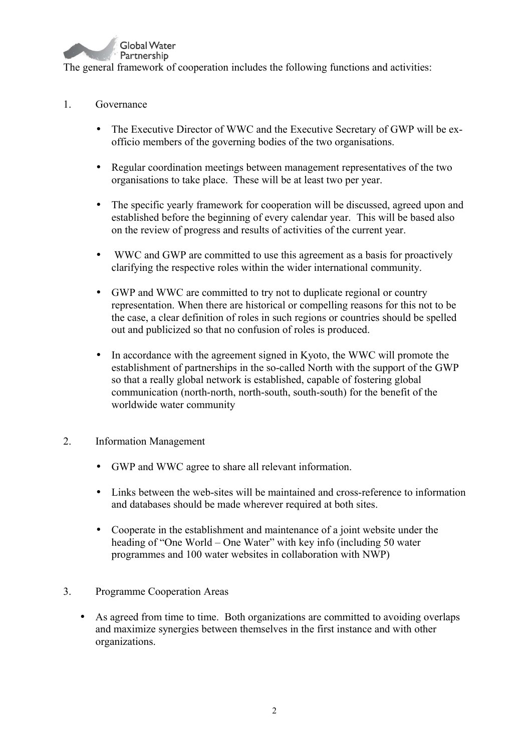

- 1. Governance
	- The Executive Director of WWC and the Executive Secretary of GWP will be exofficio members of the governing bodies of the two organisations.
	- Regular coordination meetings between management representatives of the two organisations to take place. These will be at least two per year.
	- The specific yearly framework for cooperation will be discussed, agreed upon and established before the beginning of every calendar year. This will be based also on the review of progress and results of activities of the current year.
	- WWC and GWP are committed to use this agreement as a basis for proactively clarifying the respective roles within the wider international community.
	- GWP and WWC are committed to try not to duplicate regional or country representation. When there are historical or compelling reasons for this not to be the case, a clear definition of roles in such regions or countries should be spelled out and publicized so that no confusion of roles is produced.
	- In accordance with the agreement signed in Kyoto, the WWC will promote the establishment of partnerships in the so-called North with the support of the GWP so that a really global network is established, capable of fostering global communication (north-north, north-south, south-south) for the benefit of the worldwide water community
- 2. Information Management
	- GWP and WWC agree to share all relevant information.
	- Links between the web-sites will be maintained and cross-reference to information and databases should be made wherever required at both sites.
	- Cooperate in the establishment and maintenance of a joint website under the heading of "One World – One Water" with key info (including 50 water programmes and 100 water websites in collaboration with NWP)
- 3. Programme Cooperation Areas
	- As agreed from time to time. Both organizations are committed to avoiding overlaps and maximize synergies between themselves in the first instance and with other organizations.